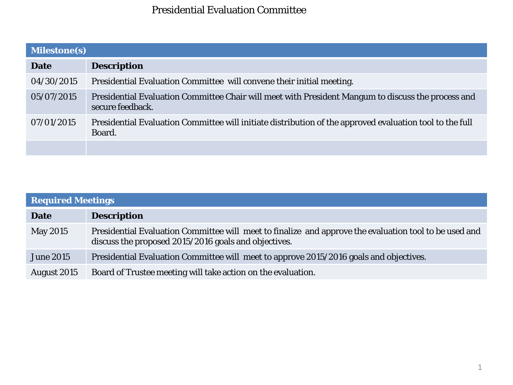## Presidential Evaluation Committee

| <b>Milestone(s)</b> |                                                                                                                        |  |  |  |  |
|---------------------|------------------------------------------------------------------------------------------------------------------------|--|--|--|--|
| <b>Date</b>         | <b>Description</b>                                                                                                     |  |  |  |  |
| 04/30/2015          | Presidential Evaluation Committee will convene their initial meeting.                                                  |  |  |  |  |
| 05/07/2015          | Presidential Evaluation Committee Chair will meet with President Mangum to discuss the process and<br>secure feedback. |  |  |  |  |
| 07/01/2015          | Presidential Evaluation Committee will initiate distribution of the approved evaluation tool to the full<br>Board.     |  |  |  |  |
|                     |                                                                                                                        |  |  |  |  |

| <b>Required Meetings</b> |                                                                                                                                                                |  |  |  |
|--------------------------|----------------------------------------------------------------------------------------------------------------------------------------------------------------|--|--|--|
| <b>Date</b>              | <b>Description</b>                                                                                                                                             |  |  |  |
| <b>May 2015</b>          | Presidential Evaluation Committee will meet to finalize and approve the evaluation tool to be used and<br>discuss the proposed 2015/2016 goals and objectives. |  |  |  |
| <b>June 2015</b>         | Presidential Evaluation Committee will meet to approve 2015/2016 goals and objectives.                                                                         |  |  |  |
| August 2015              | Board of Trustee meeting will take action on the evaluation.                                                                                                   |  |  |  |